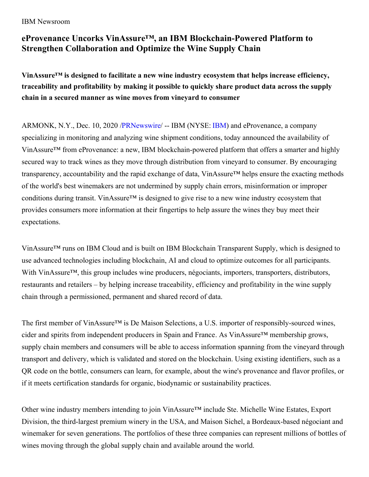## IBM Newsroom

## **eProvenance Uncorks VinAssure™ , an IBM Blockchain-Powered Platform to Strengthen Collaboration and Optimize the Wine Supply Chain**

**VinAssure™ is designed to facilitate a new wine industry ecosystem that helps increase efficiency, traceability and profitability by making it possible to quickly share product data across the supply chain in a secured manner as wine moves from vineyard to consumer**

ARMONK, N.Y., Dec. 10, 2020 [/PRNewswire](http://www.prnewswire.com/)/ -- IBM (NYSE: [IBM](https://c212.net/c/link/?t=0&l=en&o=3008019-1&h=2723568893&u=https%3A%2F%2Fwww.ibm.com%2Finvestor&a=IBM)) and eProvenance, a company specializing in monitoring and analyzing wine shipment conditions, today announced the availability of VinAssure™ from eProvenance: a new, IBM blockchain-powered platform that offers a smarter and highly secured way to track wines as they move through distribution from vineyard to consumer. By encouraging transparency, accountability and the rapid exchange of data, VinAssure™ helps ensure the exacting methods of the world's best winemakers are not undermined by supply chain errors, misinformation or improper conditions during transit. VinAssure™ is designed to give rise to a new wine industry ecosystem that provides consumers more information at their fingertips to help assure the wines they buy meet their expectations.

VinAssure™ runs on IBM Cloud and is built on IBM Blockchain Transparent Supply, which is designed to use advanced technologies including blockchain, AI and cloud to optimize outcomes for all participants. With VinAssure<sup>™</sup>, this group includes wine producers, négociants, importers, transporters, distributors, restaurants and retailers – by helping increase traceability, efficiency and profitability in the wine supply chain through a permissioned, permanent and shared record of data.

The first member of VinAssure<sup>™</sup> is De Maison Selections, a U.S. importer of responsibly-sourced wines, cider and spirits from independent producers in Spain and France. As VinAssure™ membership grows, supply chain members and consumers will be able to access information spanning from the vineyard through transport and delivery, which is validated and stored on the blockchain. Using existing identifiers, such as a QR code on the bottle, consumers can learn, for example, about the wine's provenance and flavor profiles, or if it meets certification standards for organic, biodynamic or sustainability practices.

Other wine industry members intending to join VinAssure™ include Ste. Michelle Wine Estates, Export Division, the third-largest premium winery in the USA, and Maison Sichel, a Bordeaux-based négociant and winemaker for seven generations. The portfolios of these three companies can represent millions of bottles of wines moving through the global supply chain and available around the world.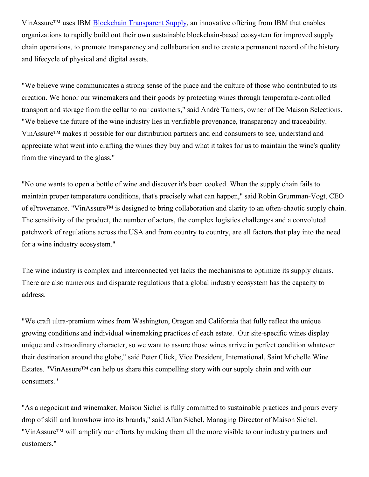VinAssure<sup>™</sup> uses IBM Blockchain [Transparent](https://c212.net/c/link/?t=0&l=en&o=3008019-1&h=1912877019&u=https%3A%2F%2Fc212.net%2Fc%2Flink%2F%3Ft%3D0%26l%3Den%26o%3D2840286-1%26h%3D2482500349%26u%3Dhttps%253A%252F%252Fwww.ibm.com%252Fblockchain%252Fsolutions%252Ftransparent-supply%26a%3DIBM%2BBlockchain%2BTransparent%2BSupply&a=Blockchain+Transparent+Supply) Supply, an innovative offering from IBM that enables organizations to rapidly build out their own sustainable blockchain-based ecosystem for improved supply chain operations, to promote transparency and collaboration and to create a permanent record of the history and lifecycle of physical and digital assets.

"We believe wine communicates a strong sense of the place and the culture of those who contributed to its creation. We honor our winemakers and their goods by protecting wines through temperature-controlled transport and storage from the cellar to our customers," said André Tamers, owner of De Maison Selections. "We believe the future of the wine industry lies in verifiable provenance, transparency and traceability. VinAssure™ makes it possible for our distribution partners and end consumers to see, understand and appreciate what went into crafting the wines they buy and what it takes for us to maintain the wine's quality from the vineyard to the glass."

"No one wants to open a bottle of wine and discover it's been cooked. When the supply chain fails to maintain proper temperature conditions, that's precisely what can happen," said Robin Grumman-Vogt, CEO of eProvenance. "VinAssure™ is designed to bring collaboration and clarity to an often-chaotic supply chain. The sensitivity of the product, the number of actors, the complex logistics challenges and a convoluted patchwork of regulations across the USA and from country to country, are all factors that play into the need for a wine industry ecosystem."

The wine industry is complex and interconnected yet lacks the mechanisms to optimize its supply chains. There are also numerous and disparate regulations that a global industry ecosystem has the capacity to address.

"We craft ultra-premium wines from Washington, Oregon and California that fully reflect the unique growing conditions and individual winemaking practices of each estate. Our site-specific wines display unique and extraordinary character, so we want to assure those wines arrive in perfect condition whatever their destination around the globe," said Peter Click, Vice President, International, Saint Michelle Wine Estates. "VinAssure™ can help us share this compelling story with our supply chain and with our consumers."

"As a negociant and winemaker, Maison Sichel is fully committed to sustainable practices and pours every drop of skill and knowhow into its brands," said Allan Sichel, Managing Director of Maison Sichel. "VinAssure™ will amplify our efforts by making them all the more visible to our industry partners and customers."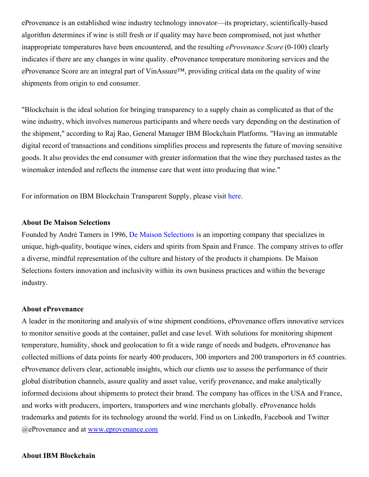eProvenance is an established wine industry technology innovator—its proprietary, scientifically-based algorithm determines if wine is still fresh or if quality may have been compromised, not just whether inappropriate temperatures have been encountered, and the resulting *eProvenance Score* (0-100) clearly indicates if there are any changes in wine quality. eProvenance temperature monitoring services and the eProvenance Score are an integral part of VinAssure™, providing critical data on the quality of wine shipments from origin to end consumer.

"Blockchain is the ideal solution for bringing transparency to a supply chain as complicated as that of the wine industry, which involves numerous participants and where needs vary depending on the destination of the shipment," according to Raj Rao, General Manager IBM Blockchain Platforms. "Having an immutable digital record of transactions and conditions simplifies process and represents the future of moving sensitive goods. It also provides the end consumer with greater information that the wine they purchased tastes as the winemaker intended and reflects the immense care that went into producing that wine."

For information on IBM Blockchain Transparent Supply, please visit [here](https://c212.net/c/link/?t=0&l=en&o=3008019-1&h=2875397036&u=https%3A%2F%2Fwww.ibm.com%2Fblockchain%2Fsolutions%2Ftransparent-supply&a=here).

## **About De Maison Selections**

Founded by André Tamers in 1996, De Maison [Selections](https://c212.net/c/link/?t=0&l=en&o=3008019-1&h=881604526&u=https%3A%2F%2Fdemaisonselections.com%2F&a=De+Maison+Selections) is an importing company that specializes in unique, high-quality, boutique wines, ciders and spirits from Spain and France. The company strives to offer a diverse, mindful representation of the culture and history of the products it champions. De Maison Selections fosters innovation and inclusivity within its own business practices and within the beverage industry.

## **About eProvenance**

A leader in the monitoring and analysis of wine shipment conditions, eProvenance offers innovative services to monitor sensitive goods at the container, pallet and case level. With solutions for monitoring shipment temperature, humidity, shock and geolocation to fit a wide range of needs and budgets, eProvenance has collected millions of data points for nearly 400 producers, 300 importers and 200 transporters in 65 countries. eProvenance delivers clear, actionable insights, which our clients use to assess the performance of their global distribution channels, assure quality and asset value, verify provenance, and make analytically informed decisions about shipments to protect their brand. The company has offices in the USA and France, and works with producers, importers, transporters and wine merchants globally. eProvenance holds trademarks and patents for its technology around the world. Find us on LinkedIn, Facebook and Twitter @eProvenance and at [www.eprovenance.com](https://c212.net/c/link/?t=0&l=en&o=3008019-1&h=1242891768&u=http%3A%2F%2Fwww.eprovenance.com%2F&a=www.eprovenance.com)